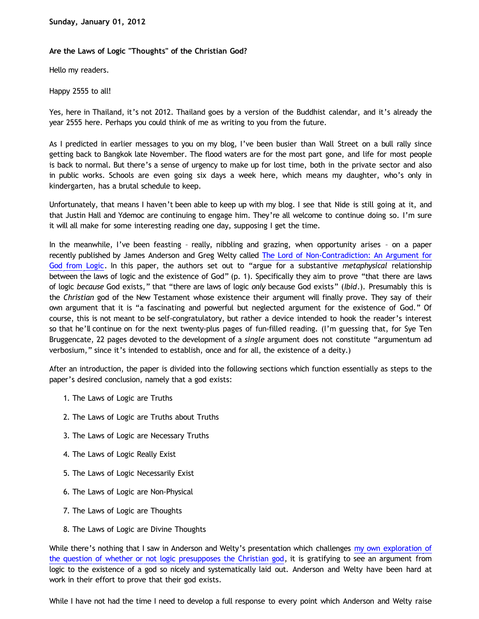**Sunday, January 01, 2012**

## **Are the Laws of Logic "Thoughts" of the Christian God?**

Hello my readers.

## Happy 2555 to all!

Yes, here in Thailand, it's not 2012. Thailand goes by a version of the Buddhist calendar, and it's already the year 2555 here. Perhaps you could think of me as writing to you from the future.

As I predicted in earlier messages to you on my blog, I've been busier than Wall Street on a bull rally since getting back to Bangkok late November. The flood waters are for the most part gone, and life for most people is back to normal. But there's a sense of urgency to make up for lost time, both in the private sector and also in public works. Schools are even going six days a week here, which means my daughter, who's only in kindergarten, has a brutal schedule to keep.

Unfortunately, that means I haven't been able to keep up with my blog. I see that Nide is still going at it, and that Justin Hall and Ydemoc are continuing to engage him. They're all welcome to continue doing so. I'm sure it will all make for some interesting reading one day, supposing I get the time.

In the meanwhile, I've been feasting – really, nibbling and grazing, when opportunity arises – on a paper recently published by James Anderson and Greg Welty called [The Lord of Non-Contradiction: An Argument for](http://www.proginosko.com/docs/The_Lord_of_Non-Contradiction.pdf) [God from Logic.](http://www.proginosko.com/docs/The_Lord_of_Non-Contradiction.pdf) In this paper, the authors set out to "argue for a substantive *metaphysical* relationship between the laws of logic and the existence of God" (p. 1). Specifically they aim to prove "that there are laws of logic *because* God exists," that "there are laws of logic *only* because God exists" (*Ibid*.). Presumably this is the *Christian* god of the New Testament whose existence their argument will finally prove. They say of their own argument that it is "a fascinating and powerful but neglected argument for the existence of God." Of course, this is not meant to be self-congratulatory, but rather a device intended to hook the reader's interest so that he'll continue on for the next twenty-plus pages of fun-filled reading. (I'm guessing that, for Sye Ten Bruggencate, 22 pages devoted to the development of a *single* argument does not constitute "argumentum ad verbosium," since it's intended to establish, once and for all, the existence of a deity.)

After an introduction, the paper is divided into the following sections which function essentially as steps to the paper's desired conclusion, namely that a god exists:

- 1. The Laws of Logic are Truths
- 2. The Laws of Logic are Truths about Truths
- 3. The Laws of Logic are Necessary Truths
- 4. The Laws of Logic Really Exist
- 5. The Laws of Logic Necessarily Exist
- 6. The Laws of Logic are Non-Physical
- 7. The Laws of Logic are Thoughts
- 8. The Laws of Logic are Divine Thoughts

While there's nothing that I saw in Anderson and Welty's presentation which challenges [my own exploration of](http://www.katholon.com/Logic.htm) [the question of whether or not logic presupposes the Christian god,](http://www.katholon.com/Logic.htm) it is gratifying to see an argument from logic to the existence of a god so nicely and systematically laid out. Anderson and Welty have been hard at work in their effort to prove that their god exists.

While I have not had the time I need to develop a full response to every point which Anderson and Welty raise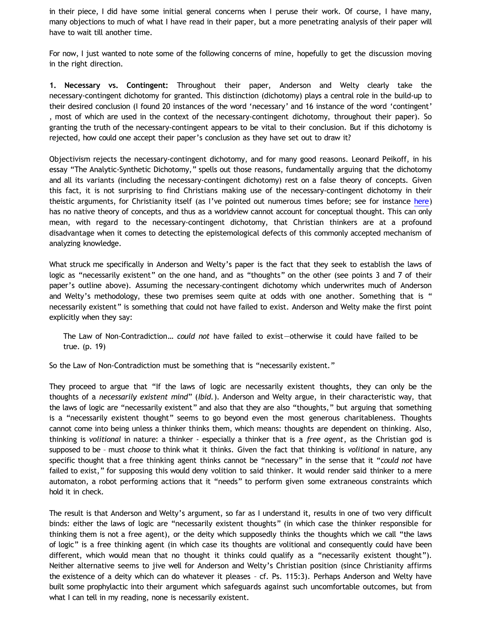in their piece, I did have some initial general concerns when I peruse their work. Of course, I have many, many objections to much of what I have read in their paper, but a more penetrating analysis of their paper will have to wait till another time.

For now, I just wanted to note some of the following concerns of mine, hopefully to get the discussion moving in the right direction.

**1. Necessary vs. Contingent:** Throughout their paper, Anderson and Welty clearly take the necessary-contingent dichotomy for granted. This distinction (dichotomy) plays a central role in the build-up to their desired conclusion (I found 20 instances of the word 'necessary' and 16 instance of the word 'contingent' , most of which are used in the context of the necessary-contingent dichotomy, throughout their paper). So granting the truth of the necessary-contingent appears to be vital to their conclusion. But if this dichotomy is rejected, how could one accept their paper's conclusion as they have set out to draw it?

Objectivism rejects the necessary-contingent dichotomy, and for many good reasons. Leonard Peikoff, in his essay "The Analytic-Synthetic Dichotomy," spells out those reasons, fundamentally arguing that the dichotomy and all its variants (including the necessary-contingent dichotomy) rest on a false theory of concepts. Given this fact, it is not surprising to find Christians making use of the necessary-contingent dichotomy in their theistic arguments, for Christianity itself (as I've pointed out numerous times before; see for instance [here](http://bahnsenburner.blogspot.com/2009/07/does-logic-presuppose-christian-god_04.html)) has no native theory of concepts, and thus as a worldview cannot account for conceptual thought. This can only mean, with regard to the necessary-contingent dichotomy, that Christian thinkers are at a profound disadvantage when it comes to detecting the epistemological defects of this commonly accepted mechanism of analyzing knowledge.

What struck me specifically in Anderson and Welty's paper is the fact that they seek to establish the laws of logic as "necessarily existent" on the one hand, and as "thoughts" on the other (see points 3 and 7 of their paper's outline above). Assuming the necessary-contingent dichotomy which underwrites much of Anderson and Welty's methodology, these two premises seem quite at odds with one another. Something that is " necessarily existent" is something that could not have failed to exist. Anderson and Welty make the first point explicitly when they say:

The Law of Non-Contradiction… *could not* have failed to exist—otherwise it could have failed to be true. (p. 19)

So the Law of Non-Contradiction must be something that is "necessarily existent."

They proceed to argue that "If the laws of logic are necessarily existent thoughts, they can only be the thoughts of a *necessarily existent mind*" (*Ibid.*). Anderson and Welty argue, in their characteristic way, that the laws of logic are "necessarily existent" and also that they are also "thoughts," but arguing that something is a "necessarily existent thought" seems to go beyond even the most generous charitableness. Thoughts cannot come into being unless a thinker thinks them, which means: thoughts are dependent on thinking. Also, thinking is *volitional* in nature: a thinker - especially a thinker that is a *free agent*, as the Christian god is supposed to be – must *choose* to think what it thinks. Given the fact that thinking is *volitional* in nature, any specific thought that a free thinking agent thinks cannot be "necessary" in the sense that it "*could not* have failed to exist," for supposing this would deny volition to said thinker. It would render said thinker to a mere automaton, a robot performing actions that it "needs" to perform given some extraneous constraints which hold it in check.

The result is that Anderson and Welty's argument, so far as I understand it, results in one of two very difficult binds: either the laws of logic are "necessarily existent thoughts" (in which case the thinker responsible for thinking them is not a free agent), or the deity which supposedly thinks the thoughts which we call "the laws of logic" is a free thinking agent (in which case its thoughts are volitional and consequently could have been different, which would mean that no thought it thinks could qualify as a "necessarily existent thought"). Neither alternative seems to jive well for Anderson and Welty's Christian position (since Christianity affirms the existence of a deity which can do whatever it pleases – cf. Ps. 115:3). Perhaps Anderson and Welty have built some prophylactic into their argument which safeguards against such uncomfortable outcomes, but from what I can tell in my reading, none is necessarily existent.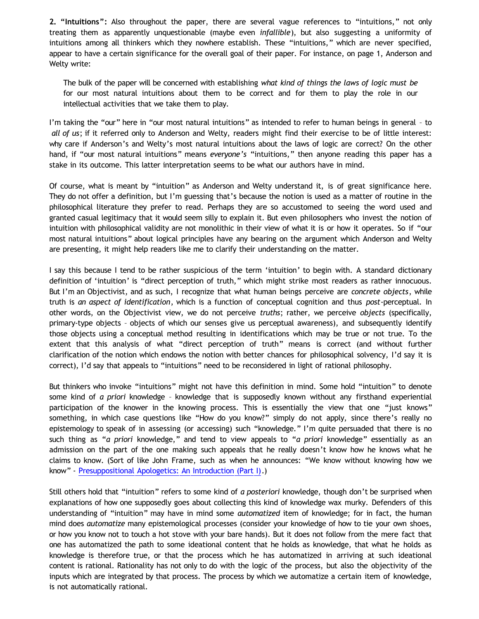**2. "Intuitions":** Also throughout the paper, there are several vague references to "intuitions," not only treating them as apparently unquestionable (maybe even *infallible*), but also suggesting a uniformity of intuitions among all thinkers which they nowhere establish. These "intuitions," which are never specified, appear to have a certain significance for the overall goal of their paper. For instance, on page 1, Anderson and Welty write:

The bulk of the paper will be concerned with establishing *what kind of things the laws of logic must be* for our most natural intuitions about them to be correct and for them to play the role in our intellectual activities that we take them to play.

I'm taking the "our" here in "our most natural intuitions" as intended to refer to human beings in general – to *all of us*; if it referred only to Anderson and Welty, readers might find their exercise to be of little interest: why care if Anderson's and Welty's most natural intuitions about the laws of logic are correct? On the other hand, if "our most natural intuitions" means *everyone's* "intuitions," then anyone reading this paper has a stake in its outcome. This latter interpretation seems to be what our authors have in mind.

Of course, what is meant by "intuition" as Anderson and Welty understand it, is of great significance here. They do not offer a definition, but I'm guessing that's because the notion is used as a matter of routine in the philosophical literature they prefer to read. Perhaps they are so accustomed to seeing the word used and granted casual legitimacy that it would seem silly to explain it. But even philosophers who invest the notion of intuition with philosophical validity are not monolithic in their view of what it is or how it operates. So if "our most natural intuitions" about logical principles have any bearing on the argument which Anderson and Welty are presenting, it might help readers like me to clarify their understanding on the matter.

I say this because I tend to be rather suspicious of the term 'intuition' to begin with. A standard dictionary definition of 'intuition' is "direct perception of truth," which might strike most readers as rather innocuous. But I'm an Objectivist, and as such, I recognize that what human beings perceive are *concrete objects*, while truth is *an aspect of identification*, which is a function of conceptual cognition and thus *post*-perceptual. In other words, on the Objectivist view, we do not perceive *truths*; rather, we perceive *objects* (specifically, primary-type objects – objects of which our senses give us perceptual awareness), and subsequently identify those objects using a conceptual method resulting in identifications which may be true or not true. To the extent that this analysis of what "direct perception of truth" means is correct (and without further clarification of the notion which endows the notion with better chances for philosophical solvency, I'd say it is correct), I'd say that appeals to "intuitions" need to be reconsidered in light of rational philosophy.

But thinkers who invoke "intuitions" might not have this definition in mind. Some hold "intuition" to denote some kind of *a priori* knowledge – knowledge that is supposedly known without any firsthand experiential participation of the knower in the knowing process. This is essentially the view that one "just knows" something, in which case questions like "How do you know?" simply do not apply, since there's really no epistemology to speak of in assessing (or accessing) such "knowledge." I'm quite persuaded that there is no such thing as "*a priori* knowledge," and tend to view appeals to "*a priori* knowledge" essentially as an admission on the part of the one making such appeals that he really doesn't know how he knows what he claims to know. (Sort of like John Frame, such as when he announces: "We know without knowing how we know" - [Presuppositional Apologetics: An Introduction \(Part I\)](http://www.thirdmill.org/files/english/html/pt/PT.h.Frame.Presupp.Apol.1.html).)

Still others hold that "intuition" refers to some kind of *a posteriori* knowledge, though don't be surprised when explanations of how one supposedly goes about collecting this kind of knowledge wax murky. Defenders of this understanding of "intuition" may have in mind some *automatized* item of knowledge; for in fact, the human mind does *automatize* many epistemological processes (consider your knowledge of how to tie your own shoes, or how you know not to touch a hot stove with your bare hands). But it does not follow from the mere fact that one has automatized the path to some ideational content that he holds as knowledge, that what he holds as knowledge is therefore true, or that the process which he has automatized in arriving at such ideational content is rational. Rationality has not only to do with the logic of the process, but also the objectivity of the inputs which are integrated by that process. The process by which we automatize a certain item of knowledge, is not automatically rational.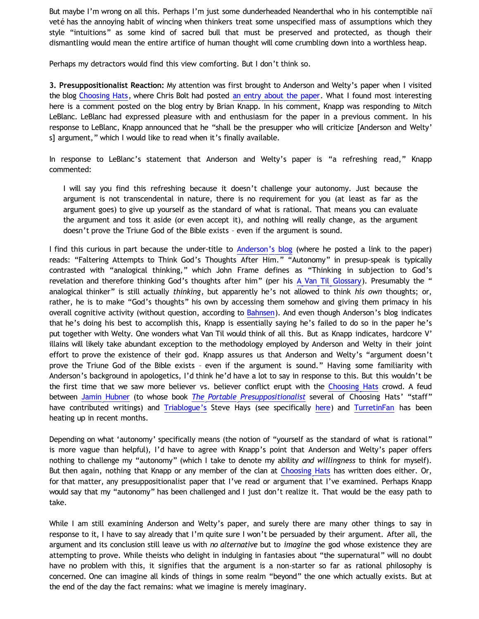But maybe I'm wrong on all this. Perhaps I'm just some dunderheaded Neanderthal who in his contemptible naï veté has the annoying habit of wincing when thinkers treat some unspecified mass of assumptions which they style "intuitions" as some kind of sacred bull that must be preserved and protected, as though their dismantling would mean the entire artifice of human thought will come crumbling down into a worthless heap.

Perhaps my detractors would find this view comforting. But I don't think so.

**3. Presuppositionalist Reaction:** My attention was first brought to Anderson and Welty's paper when I visited the blog [Choosing Hats](http://www.choosinghats.com/), where Chris Bolt had posted [an entry about the paper.](http://www.choosinghats.com/2011/12/the-lord-of-non-contradiction-an-argument-for-god-from-logic-by-james-anderson-and-greg-welty/) What I found most interesting here is a comment posted on the blog entry by Brian Knapp. In his comment, Knapp was responding to Mitch LeBlanc. LeBlanc had expressed pleasure with and enthusiasm for the paper in a previous comment. In his response to LeBlanc, Knapp announced that he "shall be the presupper who will criticize [Anderson and Welty' s] argument," which I would like to read when it's finally available.

In response to LeBlanc's statement that Anderson and Welty's paper is "a refreshing read," Knapp commented:

I will say you find this refreshing because it doesn't challenge your autonomy. Just because the argument is not transcendental in nature, there is no requirement for you (at least as far as the argument goes) to give up yourself as the standard of what is rational. That means you can evaluate the argument and toss it aside (or even accept it), and nothing will really change, as the argument doesn't prove the Triune God of the Bible exists – even if the argument is sound.

I find this curious in part because the under-title to [Anderson's blog](http://proginosko.wordpress.com/) (where he posted a link to the paper) reads: "Faltering Attempts to Think God's Thoughts After Him." "Autonomy" in presup-speak is typically contrasted with "analogical thinking," which John Frame defines as "Thinking in subjection to God's revelation and therefore thinking God's thoughts after him" (per his [A Van Til Glossary\)](http://www.frame-poythress.org/frame_articles/2000VanTilGlossary.html). Presumably the " analogical thinker" is still actually *thinking*, but apparently he's not allowed to think *his own* thoughts; or, rather, he is to make "God's thoughts" his own by accessing them somehow and giving them primacy in his overall cognitive activity (without question, according to [Bahnsen\)](http://www.cmfnow.com/articles/PA195.htm). And even though Anderson's blog indicates that he's doing his best to accomplish this, Knapp is essentially saying he's failed to do so in the paper he's put together with Welty. One wonders what Van Til would think of all this. But as Knapp indicates, hardcore V' illains will likely take abundant exception to the methodology employed by Anderson and Welty in their joint effort to prove the existence of their god. Knapp assures us that Anderson and Welty's "argument doesn't prove the Triune God of the Bible exists – even if the argument is sound." Having some familiarity with Anderson's background in apologetics, I'd think he'd have a lot to say in response to this. But this wouldn't be the first time that we saw more believer vs. believer conflict erupt with the [Choosing Hats](http://www.blogger.com/) crowd. A feud between [Jamin Hubner](http://realapologetics.org/about/about-jamin/) (to whose book *[The Portable Presuppositionalist](http://www.amazon.com/Portable-Presuppositionalist-Biblical-Apologetics-Century/dp/1439219915/ref=sr_1_1?ie=UTF8&s=books&qid=1251861597&sr=8-1)* several of Choosing Hats' "staff" have contributed writings) and [Triablogue's](http://www.blogger.com/) Steve Hays (see specifically [here](http://triablogue.blogspot.com/2011/11/jamin-hubner-posts.html)) and [TurretinFan](http://turretinfan.blogspot.com/search/label/Jamin%20Hubner) has been heating up in recent months.

Depending on what 'autonomy' specifically means (the notion of "yourself as the standard of what is rational" is more vague than helpful), I'd have to agree with Knapp's point that Anderson and Welty's paper offers nothing to challenge my "autonomy" (which I take to denote my ability *and willingness* to think for myself). But then again, nothing that Knapp or any member of the clan at [Choosing Hats](http://www.blogger.com/) has written does either. Or, for that matter, any presuppositionalist paper that I've read or argument that I've examined. Perhaps Knapp would say that my "autonomy" has been challenged and I just don't realize it. That would be the easy path to take.

While I am still examining Anderson and Welty's paper, and surely there are many other things to say in response to it, I have to say already that I'm quite sure I won't be persuaded by their argument. After all, the argument and its conclusion still leave us with *no alternative* but to *imagine* the god whose existence they are attempting to prove. While theists who delight in indulging in fantasies about "the supernatural" will no doubt have no problem with this, it signifies that the argument is a non-starter so far as rational philosophy is concerned. One can imagine all kinds of things in some realm "beyond" the one which actually exists. But at the end of the day the fact remains: what we imagine is merely imaginary.